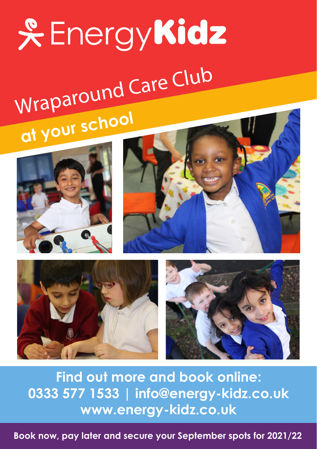# **& EnergyKidz** Wraparound Care Club **at your school**









**Find out more and book online: 0333 577 1533 | info@energy-kidz.co.uk www.energy-kidz.co.uk** 

**Book now, pay later and secure your September spots for 2021/22**